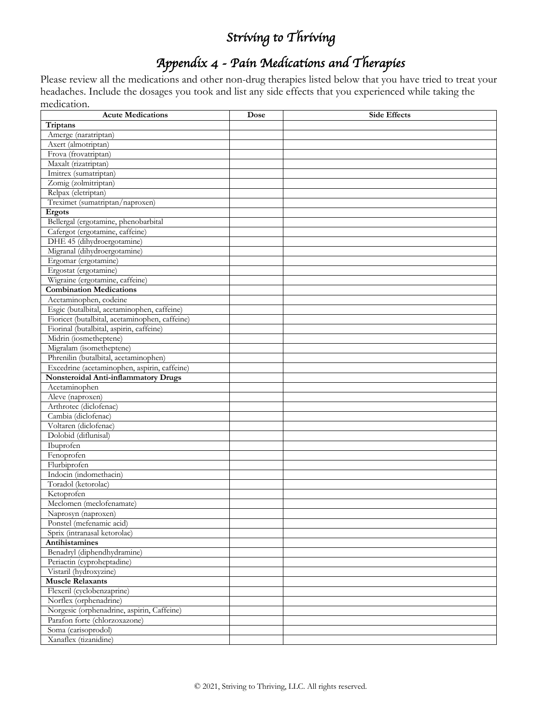### *Appendix 4 - Pain Medications and Therapies*

Please review all the medications and other non-drug therapies listed below that you have tried to treat your headaches. Include the dosages you took and list any side effects that you experienced while taking the medication.

| <b>Acute Medications</b>                       | Dose | <b>Side Effects</b> |
|------------------------------------------------|------|---------------------|
| Triptans                                       |      |                     |
| Amerge (naratriptan)                           |      |                     |
| Axert (almotriptan)                            |      |                     |
| Frova (frovatriptan)                           |      |                     |
| Maxalt (rizatriptan)                           |      |                     |
| Imitrex (sumatriptan)                          |      |                     |
| Zomig (zolmitriptan)                           |      |                     |
| Relpax (eletriptan)                            |      |                     |
| Treximet (sumatriptan/naproxen)                |      |                     |
| <b>Ergots</b>                                  |      |                     |
| Bellergal (ergotamine, phenobarbital           |      |                     |
| Cafergot (ergotamine, caffeine)                |      |                     |
| DHE 45 (dihydroergotamine)                     |      |                     |
| Migranal (dihydroergotamine)                   |      |                     |
| Ergomar (ergotamine)                           |      |                     |
| Ergostat (ergotamine)                          |      |                     |
| Wigraine (ergotamine, caffeine)                |      |                     |
| <b>Combination Medications</b>                 |      |                     |
| Acetaminophen, codeine                         |      |                     |
| Esgic (butalbital, acetaminophen, caffeine)    |      |                     |
| Fioricet (butalbital, acetaminophen, caffeine) |      |                     |
| Fiorinal (butalbital, aspirin, caffeine)       |      |                     |
| Midrin (iosmetheptene)                         |      |                     |
| Migralam (isometheptene)                       |      |                     |
| Phrenilin (butalbital, acetaminophen)          |      |                     |
| Excedrine (acetaminophen, aspirin, caffeine)   |      |                     |
| Nonsteroidal Anti-inflammatory Drugs           |      |                     |
| Acetaminophen                                  |      |                     |
| Aleve (naproxen)                               |      |                     |
| Arthrotec (diclofenac)                         |      |                     |
| Cambia (diclofenac)                            |      |                     |
| Voltaren (diclofenac)                          |      |                     |
| Dolobid (diflunisal)                           |      |                     |
| Ibuprofen                                      |      |                     |
| Fenoprofen                                     |      |                     |
| Flurbiprofen                                   |      |                     |
| Indocin (indomethacin)                         |      |                     |
| Toradol (ketorolac)                            |      |                     |
| Ketoprofen                                     |      |                     |
| Meclomen (meclofenamate)                       |      |                     |
| Naprosyn (naproxen)                            |      |                     |
| Ponstel (metenamic acid)                       |      |                     |
| Sprix (intranasal ketorolac)                   |      |                     |
| Antihistamines                                 |      |                     |
| Benadryl (diphendhydramine)                    |      |                     |
| Periactin (cyproheptadine)                     |      |                     |
| Vistaril (hydroxyzine)                         |      |                     |
| <b>Muscle Relaxants</b>                        |      |                     |
| Flexeril (cyclobenzaprine)                     |      |                     |
| Norflex (orphenadrine)                         |      |                     |
| Norgesic (orphenadrine, aspirin, Caffeine)     |      |                     |
| Parafon forte (chlorzoxazone)                  |      |                     |
| Soma (carisoprodol)                            |      |                     |
| Xanaflex (tizanidine)                          |      |                     |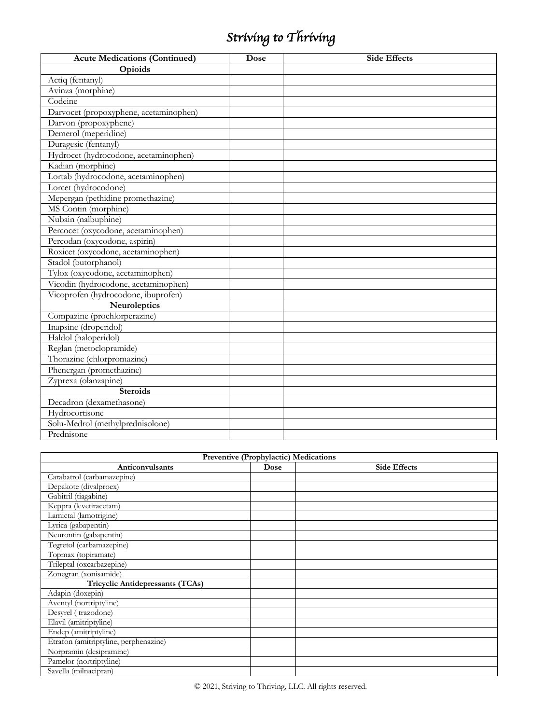| <b>Acute Medications (Continued)</b>   | Dose | <b>Side Effects</b> |
|----------------------------------------|------|---------------------|
| Opioids                                |      |                     |
| Actiq (fentanyl)                       |      |                     |
| Avinza (morphine)                      |      |                     |
| Codeine                                |      |                     |
| Darvocet (propoxyphene, acetaminophen) |      |                     |
| Darvon (propoxyphene)                  |      |                     |
| Demerol (meperidine)                   |      |                     |
| Duragesic (fentanyl)                   |      |                     |
| Hydrocet (hydrocodone, acetaminophen)  |      |                     |
| Kadian (morphine)                      |      |                     |
| Lortab (hydrocodone, acetaminophen)    |      |                     |
| Lorcet (hydrocodone)                   |      |                     |
| Mepergan (pethidine promethazine)      |      |                     |
| MS Contin (morphine)                   |      |                     |
| Nubain (nalbuphine)                    |      |                     |
| Percocet (oxycodone, acetaminophen)    |      |                     |
| Percodan (oxycodone, aspirin)          |      |                     |
| Roxicet (oxycodone, acetaminophen)     |      |                     |
| Stadol (butorphanol)                   |      |                     |
| Tylox (oxycodone, acetaminophen)       |      |                     |
| Vicodin (hydrocodone, acetaminophen)   |      |                     |
| Vicoprofen (hydrocodone, ibuprofen)    |      |                     |
| Neuroleptics                           |      |                     |
| Compazine (prochlorperazine)           |      |                     |
| Inapsine (droperidol)                  |      |                     |
| Haldol (haloperidol)                   |      |                     |
| Reglan (metoclopramide)                |      |                     |
| Thorazine (chlorpromazine)             |      |                     |
| Phenergan (promethazine)               |      |                     |
| Zyprexa (olanzapine)                   |      |                     |
| <b>Steroids</b>                        |      |                     |
| Decadron (dexamethasone)               |      |                     |
| Hydrocortisone                         |      |                     |
| Solu-Medrol (methylprednisolone)       |      |                     |
| Prednisone                             |      |                     |

| Preventive (Prophylactic) Medications |      |                     |  |  |
|---------------------------------------|------|---------------------|--|--|
| Anticonvulsants                       | Dose | <b>Side Effects</b> |  |  |
| Carabatrol (carbamazepine)            |      |                     |  |  |
| Depakote (divalproex)                 |      |                     |  |  |
| Gabitril (tiagabine)                  |      |                     |  |  |
| Keppra (levetiracetam)                |      |                     |  |  |
| Lamictal (lamotrigine)                |      |                     |  |  |
| Lyrica (gabapentin)                   |      |                     |  |  |
| Neurontin (gabapentin)                |      |                     |  |  |
| Tegretol (carbamazepine)              |      |                     |  |  |
| Topmax (topiramate)                   |      |                     |  |  |
| Trileptal (oxcarbazepine)             |      |                     |  |  |
| Zonegran (xonisamide)                 |      |                     |  |  |
| Tricyclic Antidepressants (TCAs)      |      |                     |  |  |
| Adapin (doxepin)                      |      |                     |  |  |
| Aventyl (nortriptyline)               |      |                     |  |  |
| Desyrel (trazodone)                   |      |                     |  |  |
| Elavil (amitriptyline)                |      |                     |  |  |
| Endep (amitriptyline)                 |      |                     |  |  |
| Etrafon (amitriptyline, perphenazine) |      |                     |  |  |
| Norpramin (desipramine)               |      |                     |  |  |
| Pamelor (nortriptyline)               |      |                     |  |  |
| Savella (milnacipran)                 |      |                     |  |  |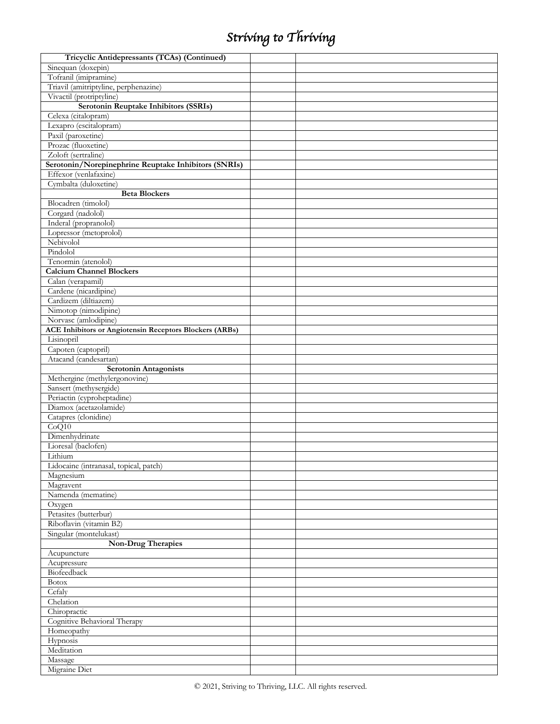| Tricyclic Antidepressants (TCAs) (Continued)                   |  |
|----------------------------------------------------------------|--|
| Sinequan (doxepin)                                             |  |
| Tofranil (imipramine)                                          |  |
| Triavil (amitriptyline, perphenazine)                          |  |
| Vivactil (protriptyline)                                       |  |
| Serotonin Reuptake Inhibitors (SSRIs)                          |  |
| Celexa (citalopram)                                            |  |
| Lexapro (escitalopram)                                         |  |
| Paxil (paroxetine)                                             |  |
| Prozac (fluoxetine)                                            |  |
| Zoloft (sertraline)                                            |  |
| Serotonin/Norepinephrine Reuptake Inhibitors (SNRIs)           |  |
| Effexor (venlafaxine)                                          |  |
| Cymbalta (duloxetine)                                          |  |
| <b>Beta Blockers</b>                                           |  |
| Blocadren (timolol)                                            |  |
| Corgard (nadolol)                                              |  |
| Inderal (propranolol)                                          |  |
| Lopressor (metoprolol)                                         |  |
| Nebivolol                                                      |  |
| Pindolol                                                       |  |
| Tenormin (atenolol)                                            |  |
| <b>Calcium Channel Blockers</b>                                |  |
| Calan (verapamil)                                              |  |
| Cardene (nicardipine)                                          |  |
| Cardizem (diltiazem)                                           |  |
| Nimotop (nimodipine)                                           |  |
| Norvasc (amlodipine)                                           |  |
| <b>ACE Inhibitors or Angiotensin Receptors Blockers (ARBs)</b> |  |
| Lisinopril                                                     |  |
| Capoten (captopril)                                            |  |
| Atacand (candesartan)                                          |  |
|                                                                |  |
| <b>Serotonin Antagonists</b>                                   |  |
| Methergine (methylergonovine)                                  |  |
| Sansert (methysergide)                                         |  |
| Periactin (cyproheptadine)                                     |  |
| Diamox (acetazolamide)                                         |  |
| Catapres (clonidine)                                           |  |
| CoQ10                                                          |  |
| Dimenhydrinate                                                 |  |
| Lioresal (baclofen)                                            |  |
| Lithium                                                        |  |
| Lidocaine (intranasal, topical, patch)                         |  |
| Magnesium                                                      |  |
| Magravent                                                      |  |
| Namenda (mematine)                                             |  |
| Oxygen                                                         |  |
| Petasites (butterbur)                                          |  |
| Riboflavin (vitamin B2)                                        |  |
| Singular (montelukast)                                         |  |
| <b>Non-Drug Therapies</b>                                      |  |
| Acupuncture                                                    |  |
| Acupressure                                                    |  |
| Biofeedback                                                    |  |
| <b>Botox</b>                                                   |  |
| Cefaly                                                         |  |
| Chelation                                                      |  |
| Chiropractic                                                   |  |
| Cognitive Behavioral Therapy                                   |  |
| Homeopathy                                                     |  |
| Hypnosis                                                       |  |
| Meditation                                                     |  |
| Massage<br>Migraine Diet                                       |  |